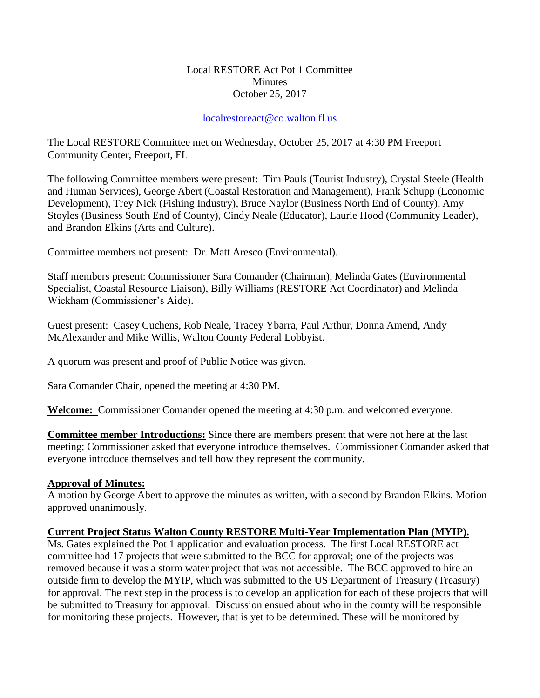## Local RESTORE Act Pot 1 Committee **Minutes** October 25, 2017

## [localrestoreact@co.walton.fl.us](mailto:localrestoreact@co.walton.fl.us)

The Local RESTORE Committee met on Wednesday, October 25, 2017 at 4:30 PM Freeport Community Center, Freeport, FL

The following Committee members were present: Tim Pauls (Tourist Industry), Crystal Steele (Health and Human Services), George Abert (Coastal Restoration and Management), Frank Schupp (Economic Development), Trey Nick (Fishing Industry), Bruce Naylor (Business North End of County), Amy Stoyles (Business South End of County), Cindy Neale (Educator), Laurie Hood (Community Leader), and Brandon Elkins (Arts and Culture).

Committee members not present: Dr. Matt Aresco (Environmental).

Staff members present: Commissioner Sara Comander (Chairman), Melinda Gates (Environmental Specialist, Coastal Resource Liaison), Billy Williams (RESTORE Act Coordinator) and Melinda Wickham (Commissioner's Aide).

Guest present: Casey Cuchens, Rob Neale, Tracey Ybarra, Paul Arthur, Donna Amend, Andy McAlexander and Mike Willis, Walton County Federal Lobbyist.

A quorum was present and proof of Public Notice was given.

Sara Comander Chair, opened the meeting at 4:30 PM.

**Welcome:** Commissioner Comander opened the meeting at 4:30 p.m. and welcomed everyone.

**Committee member Introductions:** Since there are members present that were not here at the last meeting; Commissioner asked that everyone introduce themselves. Commissioner Comander asked that everyone introduce themselves and tell how they represent the community.

## **Approval of Minutes:**

A motion by George Abert to approve the minutes as written, with a second by Brandon Elkins. Motion approved unanimously.

## **Current Project Status Walton County RESTORE Multi-Year Implementation Plan (MYIP).**

Ms. Gates explained the Pot 1 application and evaluation process. The first Local RESTORE act committee had 17 projects that were submitted to the BCC for approval; one of the projects was removed because it was a storm water project that was not accessible. The BCC approved to hire an outside firm to develop the MYIP, which was submitted to the US Department of Treasury (Treasury) for approval. The next step in the process is to develop an application for each of these projects that will be submitted to Treasury for approval. Discussion ensued about who in the county will be responsible for monitoring these projects. However, that is yet to be determined. These will be monitored by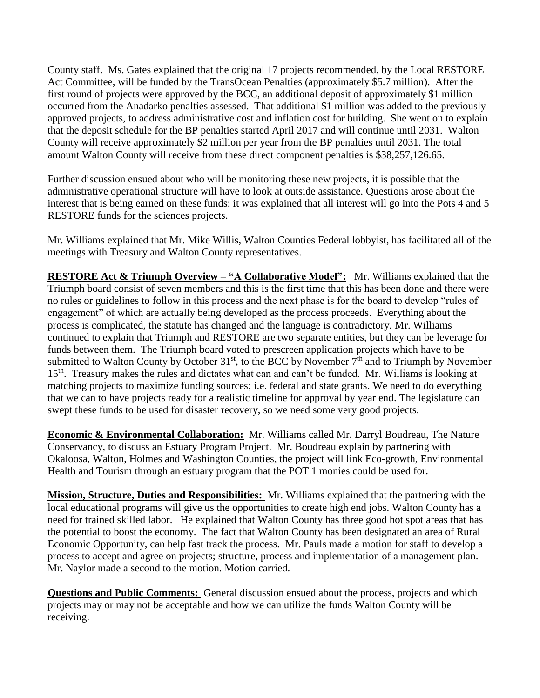County staff. Ms. Gates explained that the original 17 projects recommended, by the Local RESTORE Act Committee, will be funded by the TransOcean Penalties (approximately \$5.7 million). After the first round of projects were approved by the BCC, an additional deposit of approximately \$1 million occurred from the Anadarko penalties assessed. That additional \$1 million was added to the previously approved projects, to address administrative cost and inflation cost for building. She went on to explain that the deposit schedule for the BP penalties started April 2017 and will continue until 2031. Walton County will receive approximately \$2 million per year from the BP penalties until 2031. The total amount Walton County will receive from these direct component penalties is \$38,257,126.65.

Further discussion ensued about who will be monitoring these new projects, it is possible that the administrative operational structure will have to look at outside assistance. Questions arose about the interest that is being earned on these funds; it was explained that all interest will go into the Pots 4 and 5 RESTORE funds for the sciences projects.

Mr. Williams explained that Mr. Mike Willis, Walton Counties Federal lobbyist, has facilitated all of the meetings with Treasury and Walton County representatives.

**RESTORE Act & Triumph Overview – "A Collaborative Model":** Mr. Williams explained that the Triumph board consist of seven members and this is the first time that this has been done and there were no rules or guidelines to follow in this process and the next phase is for the board to develop "rules of engagement" of which are actually being developed as the process proceeds. Everything about the process is complicated, the statute has changed and the language is contradictory. Mr. Williams continued to explain that Triumph and RESTORE are two separate entities, but they can be leverage for funds between them. The Triumph board voted to prescreen application projects which have to be submitted to Walton County by October  $31<sup>st</sup>$ , to the BCC by November  $7<sup>th</sup>$  and to Triumph by November 15<sup>th</sup>. Treasury makes the rules and dictates what can and can't be funded. Mr. Williams is looking at matching projects to maximize funding sources; i.e. federal and state grants. We need to do everything that we can to have projects ready for a realistic timeline for approval by year end. The legislature can swept these funds to be used for disaster recovery, so we need some very good projects.

**Economic & Environmental Collaboration:** Mr. Williams called Mr. Darryl Boudreau, The Nature Conservancy, to discuss an Estuary Program Project. Mr. Boudreau explain by partnering with Okaloosa, Walton, Holmes and Washington Counties, the project will link Eco-growth, Environmental Health and Tourism through an estuary program that the POT 1 monies could be used for.

**Mission, Structure, Duties and Responsibilities:** Mr. Williams explained that the partnering with the local educational programs will give us the opportunities to create high end jobs. Walton County has a need for trained skilled labor. He explained that Walton County has three good hot spot areas that has the potential to boost the economy. The fact that Walton County has been designated an area of Rural Economic Opportunity, can help fast track the process. Mr. Pauls made a motion for staff to develop a process to accept and agree on projects; structure, process and implementation of a management plan. Mr. Naylor made a second to the motion. Motion carried.

**Questions and Public Comments:** General discussion ensued about the process, projects and which projects may or may not be acceptable and how we can utilize the funds Walton County will be receiving.